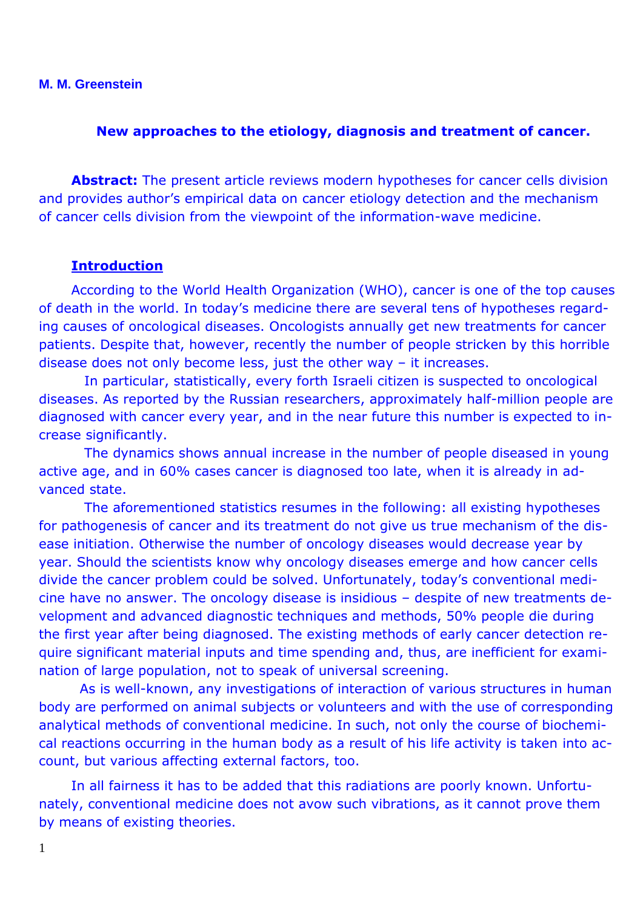**M. M. Greenstein**

#### **New approaches to the etiology, diagnosis and treatment of cancer.**

**Abstract:** The present article reviews modern hypotheses for cancer cells division and provides author's empirical data on cancer etiology detection and the mechanism of cancer cells division from the viewpoint of the information-wave medicine.

#### **Introduction**

According to the World Health Organization (WHO), cancer is one of the top causes of death in the world. In today's medicine there are several tens of hypotheses regarding causes of oncological diseases. Oncologists annually get new treatments for cancer patients. Despite that, however, recently the number of people stricken by this horrible disease does not only become less, just the other way – it increases.

 In particular, statistically, every forth Israeli citizen is suspected to oncological diseases. As reported by the Russian researchers, approximately half-million people are diagnosed with cancer every year, and in the near future this number is expected to increase significantly.

 The dynamics shows annual increase in the number of people diseased in young active age, and in 60% cases cancer is diagnosed too late, when it is already in advanced state.

 The aforementioned statistics resumes in the following: all existing hypotheses for pathogenesis of cancer and its treatment do not give us true mechanism of the disease initiation. Otherwise the number of oncology diseases would decrease year by year. Should the scientists know why oncology diseases emerge and how cancer cells divide the cancer problem could be solved. Unfortunately, today's conventional medicine have no answer. The oncology disease is insidious – despite of new treatments development and advanced diagnostic techniques and methods, 50% people die during the first year after being diagnosed. The existing methods of early cancer detection require significant material inputs and time spending and, thus, are inefficient for examination of large population, not to speak of universal screening.

 As is well-known, any investigations of interaction of various structures in human body are performed on animal subjects or volunteers and with the use of corresponding analytical methods of conventional medicine. In such, not only the course of biochemical reactions occurring in the human body as a result of his life activity is taken into account, but various affecting external factors, too.

In all fairness it has to be added that this radiations are poorly known. Unfortunately, conventional medicine does not avow such vibrations, as it cannot prove them by means of existing theories.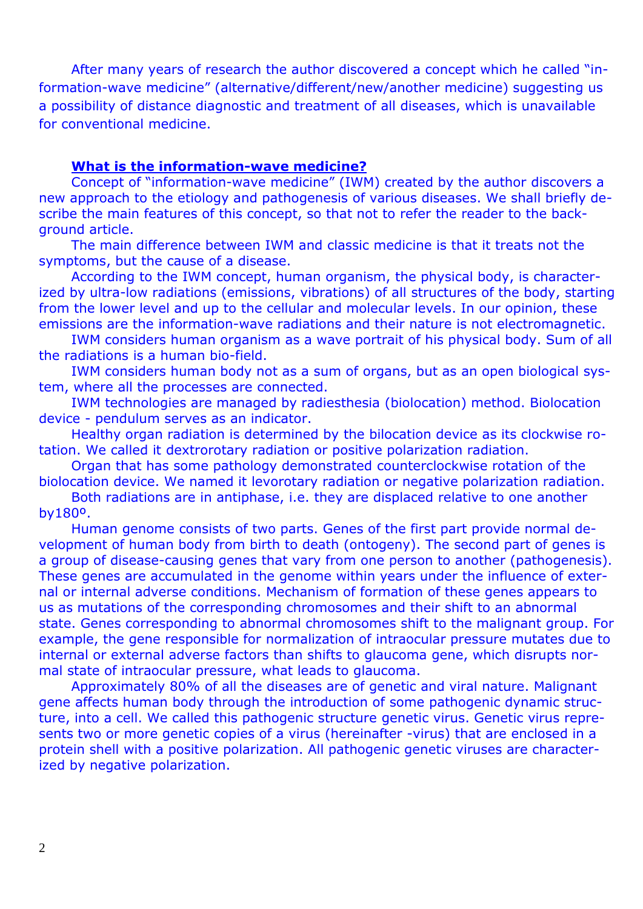After many years of research the author discovered a concept which he called "information-wave medicine" (alternative/different/new/another medicine) suggesting us a possibility of distance diagnostic and treatment of all diseases, which is unavailable for conventional medicine.

## **What is the information-wave medicine?**

Concept of "information-wave medicine" (IWM) created by the author discovers a new approach to the etiology and pathogenesis of various diseases. We shall briefly describe the main features of this concept, so that not to refer the reader to the background article.

The main difference between IWM and classic medicine is that it treats not the symptoms, but the cause of a disease.

According to the IWM concept, human organism, the physical body, is characterized by ultra-low radiations (emissions, vibrations) of all structures of the body, starting from the lower level and up to the cellular and molecular levels. In our opinion, these emissions are the information-wave radiations and their nature is not electromagnetic.

IWM considers human organism as a wave portrait of his physical body. Sum of all the radiations is a human bio-field.

IWM considers human body not as a sum of organs, but as an open biological system, where all the processes are connected.

IWM technologies are managed by radiesthesia (biolocation) method. Biolocation device - pendulum serves as an indicator.

Healthy organ radiation is determined by the bilocation device as its clockwise rotation. We called it dextrorotary radiation or positive polarization radiation.

Organ that has some pathology demonstrated counterclockwise rotation of the biolocation device. We named it levorotary radiation or negative polarization radiation.

Both radiations are in antiphase, i.e. they are displaced relative to one another by180º.

Human genome consists of two parts. Genes of the first part provide normal development of human body from birth to death (ontogeny). The second part of genes is a group of disease-causing genes that vary from one person to another (pathogenesis). These genes are accumulated in the genome within years under the influence of external or internal adverse conditions. Mechanism of formation of these genes appears to us as mutations of the corresponding chromosomes and their shift to an abnormal state. Genes corresponding to abnormal chromosomes shift to the malignant group. For example, the gene responsible for normalization of intraocular pressure mutates due to internal or external adverse factors than shifts to glaucoma gene, which disrupts normal state of intraocular pressure, what leads to glaucoma.

Approximately 80% of all the diseases are of genetic and viral nature. Malignant gene affects human body through the introduction of some pathogenic dynamic structure, into a cell. We called this pathogenic structure genetic virus. Genetic virus represents two or more genetic copies of a virus (hereinafter -virus) that are enclosed in a protein shell with a positive polarization. All pathogenic genetic viruses are characterized by negative polarization.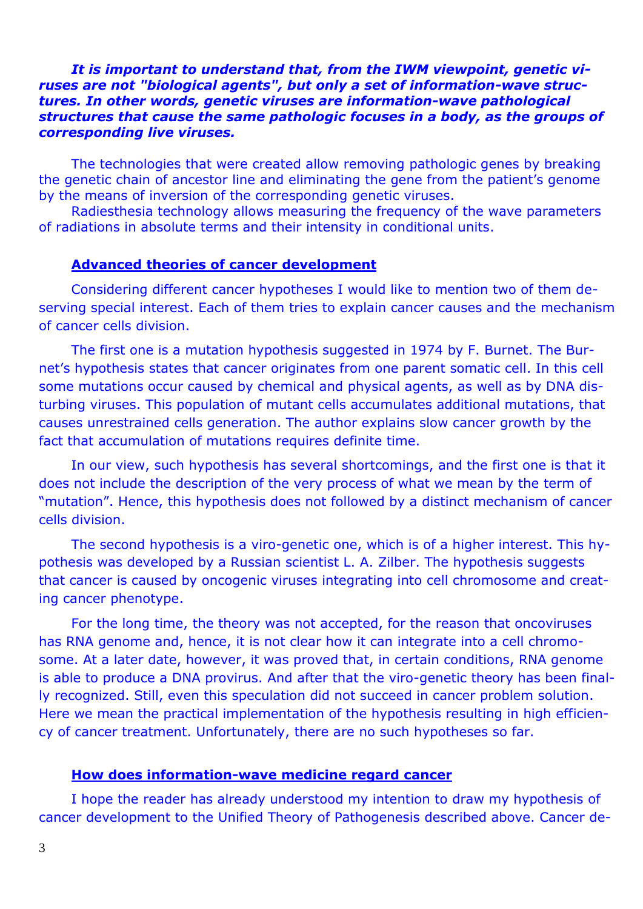## *It is important to understand that, from the IWM viewpoint, genetic viruses are not "biological agents", but only a set of information-wave structures. In other words, genetic viruses are information-wave pathological structures that cause the same pathologic focuses in a body, as the groups of corresponding live viruses.*

The technologies that were created allow removing pathologic genes by breaking the genetic chain of ancestor line and eliminating the gene from the patient's genome by the means of inversion of the corresponding genetic viruses.

Radiesthesia technology allows measuring the frequency of the wave parameters of radiations in absolute terms and their intensity in conditional units.

### **Advanced theories of cancer development**

Considering different cancer hypotheses I would like to mention two of them deserving special interest. Each of them tries to explain cancer causes and the mechanism of cancer cells division.

The first one is a mutation hypothesis suggested in 1974 by F. Burnet. The Burnet's hypothesis states that cancer originates from one parent somatic cell. In this cell some mutations occur caused by chemical and physical agents, as well as by DNA disturbing viruses. This population of mutant cells accumulates additional mutations, that causes unrestrained cells generation. The author explains slow cancer growth by the fact that accumulation of mutations requires definite time.

In our view, such hypothesis has several shortcomings, and the first one is that it does not include the description of the very process of what we mean by the term of "mutation". Hence, this hypothesis does not followed by a distinct mechanism of cancer cells division.

The second hypothesis is a viro-genetic one, which is of a higher interest. This hypothesis was developed by a Russian scientist L. A. Zilber. The hypothesis suggests that cancer is caused by oncogenic viruses integrating into cell chromosome and creating cancer phenotype.

For the long time, the theory was not accepted, for the reason that oncoviruses has RNA genome and, hence, it is not clear how it can integrate into a cell chromosome. At a later date, however, it was proved that, in certain conditions, RNA genome is able to produce a DNA provirus. And after that the viro-genetic theory has been finally recognized. Still, even this speculation did not succeed in cancer problem solution. Here we mean the practical implementation of the hypothesis resulting in high efficiency of cancer treatment. Unfortunately, there are no such hypotheses so far.

### **How does information-wave medicine regard cancer**

I hope the reader has already understood my intention to draw my hypothesis of cancer development to the Unified Theory of Pathogenesis described above. Cancer de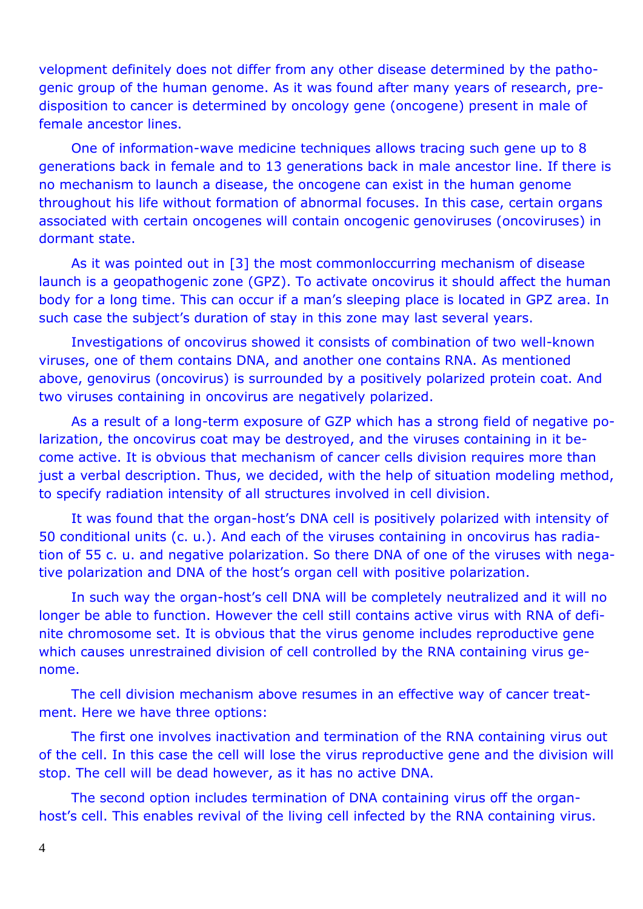velopment definitely does not differ from any other disease determined by the pathogenic group of the human genome. As it was found after many years of research, predisposition to cancer is determined by oncology gene (oncogene) present in male of female ancestor lines.

One of information-wave medicine techniques allows tracing such gene up to 8 generations back in female and to 13 generations back in male ancestor line. If there is no mechanism to launch a disease, the oncogene can exist in the human genome throughout his life without formation of abnormal focuses. In this case, certain organs associated with certain oncogenes will contain oncogenic genoviruses (oncoviruses) in dormant state.

As it was pointed out in [3] the most commonloccurring mechanism of disease launch is a geopathogenic zone (GPZ). To activate oncovirus it should affect the human body for a long time. This can occur if a man's sleeping place is located in GPZ area. In such case the subject's duration of stay in this zone may last several years.

Investigations of oncovirus showed it consists of combination of two well-known viruses, one of them contains DNA, and another one contains RNA. As mentioned above, genovirus (oncovirus) is surrounded by a positively polarized protein coat. And two viruses containing in oncovirus are negatively polarized.

As a result of a long-term exposure of GZP which has a strong field of negative polarization, the oncovirus coat may be destroyed, and the viruses containing in it become active. It is obvious that mechanism of cancer cells division requires more than just a verbal description. Thus, we decided, with the help of situation modeling method, to specify radiation intensity of all structures involved in cell division.

It was found that the organ-host's DNA cell is positively polarized with intensity of 50 conditional units (c. u.). And each of the viruses containing in oncovirus has radiation of 55 c. u. and negative polarization. So there DNA of one of the viruses with negative polarization and DNA of the host's organ cell with positive polarization.

In such way the organ-host's cell DNA will be completely neutralized and it will no longer be able to function. However the cell still contains active virus with RNA of definite chromosome set. It is obvious that the virus genome includes reproductive gene which causes unrestrained division of cell controlled by the RNA containing virus genome.

The cell division mechanism above resumes in an effective way of cancer treatment. Here we have three options:

The first one involves inactivation and termination of the RNA containing virus out of the cell. In this case the cell will lose the virus reproductive gene and the division will stop. The cell will be dead however, as it has no active DNA.

The second option includes termination of DNA containing virus off the organhost's cell. This enables revival of the living cell infected by the RNA containing virus.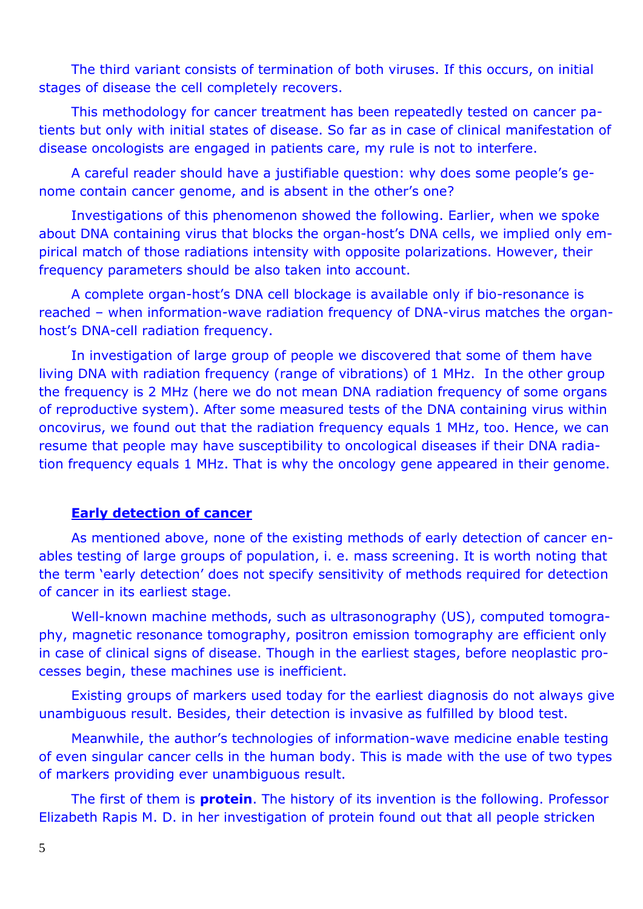The third variant consists of termination of both viruses. If this occurs, on initial stages of disease the cell completely recovers.

This methodology for cancer treatment has been repeatedly tested on cancer patients but only with initial states of disease. So far as in case of clinical manifestation of disease oncologists are engaged in patients care, my rule is not to interfere.

A careful reader should have a justifiable question: why does some people's genome contain cancer genome, and is absent in the other's one?

Investigations of this phenomenon showed the following. Earlier, when we spoke about DNA containing virus that blocks the organ-host's DNA cells, we implied only empirical match of those radiations intensity with opposite polarizations. However, their frequency parameters should be also taken into account.

A complete organ-host's DNA cell blockage is available only if bio-resonance is reached – when information-wave radiation frequency of DNA-virus matches the organhost's DNA-cell radiation frequency.

In investigation of large group of people we discovered that some of them have living DNA with radiation frequency (range of vibrations) of 1 MHz. In the other group the frequency is 2 MHz (here we do not mean DNA radiation frequency of some organs of reproductive system). After some measured tests of the DNA containing virus within oncovirus, we found out that the radiation frequency equals 1 MHz, too. Hence, we can resume that people may have susceptibility to oncological diseases if their DNA radiation frequency equals 1 MHz. That is why the oncology gene appeared in their genome.

# **Early detection of cancer**

As mentioned above, none of the existing methods of early detection of cancer enables testing of large groups of population, i. e. mass screening. It is worth noting that the term 'early detection' does not specify sensitivity of methods required for detection of cancer in its earliest stage.

Well-known machine methods, such as ultrasonography (US), computed tomography, magnetic resonance tomography, positron emission tomography are efficient only in case of clinical signs of disease. Though in the earliest stages, before neoplastic processes begin, these machines use is inefficient.

Existing groups of markers used today for the earliest diagnosis do not always give unambiguous result. Besides, their detection is invasive as fulfilled by blood test.

Meanwhile, the author's technologies of information-wave medicine enable testing of even singular cancer cells in the human body. This is made with the use of two types of markers providing ever unambiguous result.

The first of them is **protein**. The history of its invention is the following. Professor Elizabeth Rapis M. D. in her investigation of protein found out that all people stricken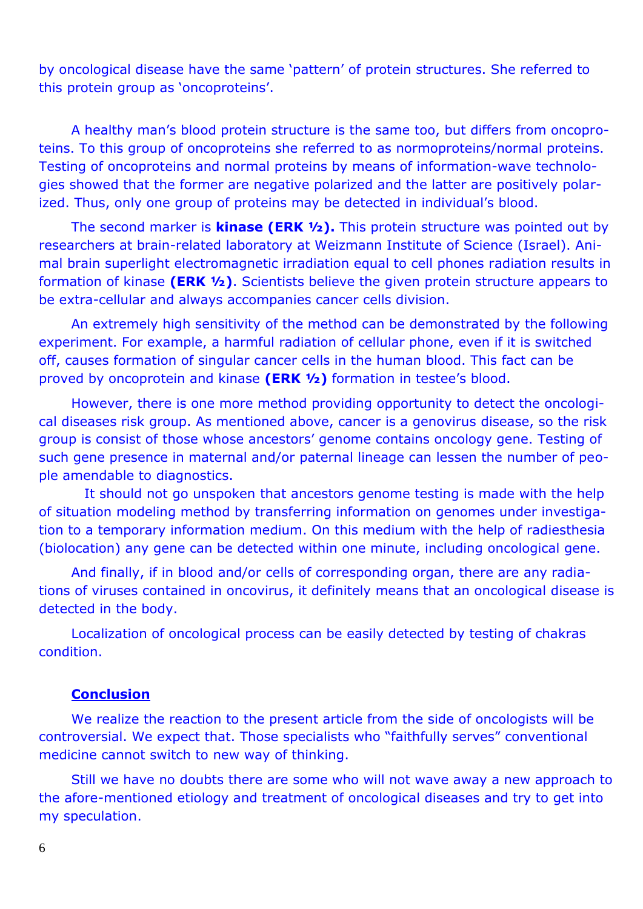by oncological disease have the same 'pattern' of protein structures. She referred to this protein group as 'oncoproteins'.

A healthy man's blood protein structure is the same too, but differs from oncoproteins. To this group of oncoproteins she referred to as normoproteins/normal proteins. Testing of oncoproteins and normal proteins by means of information-wave technologies showed that the former are negative polarized and the latter are positively polarized. Thus, only one group of proteins may be detected in individual's blood.

The second marker is **kinase (ERK ½).** This protein structure was pointed out by researchers at brain-related laboratory at Weizmann Institute of Science (Israel). Animal brain superlight electromagnetic irradiation equal to cell phones radiation results in formation of kinase **(ERK ½)**. Scientists believe the given protein structure appears to be extra-cellular and always accompanies cancer cells division.

An extremely high sensitivity of the method can be demonstrated by the following experiment. For example, a harmful radiation of cellular phone, even if it is switched off, causes formation of singular cancer cells in the human blood. This fact can be proved by oncoprotein and kinase **(ERK ½)** formation in testee's blood.

However, there is one more method providing opportunity to detect the oncological diseases risk group. As mentioned above, cancer is a genovirus disease, so the risk group is consist of those whose ancestors' genome contains oncology gene. Testing of such gene presence in maternal and/or paternal lineage can lessen the number of people amendable to diagnostics.

 It should not go unspoken that ancestors genome testing is made with the help of situation modeling method by transferring information on genomes under investigation to a temporary information medium. On this medium with the help of radiesthesia (biolocation) any gene can be detected within one minute, including oncological gene.

And finally, if in blood and/or cells of corresponding organ, there are any radiations of viruses contained in oncovirus, it definitely means that an oncological disease is detected in the body.

Localization of oncological process can be easily detected by testing of chakras condition.

# **Conclusion**

We realize the reaction to the present article from the side of oncologists will be controversial. We expect that. Those specialists who "faithfully serves" conventional medicine cannot switch to new way of thinking.

Still we have no doubts there are some who will not wave away a new approach to the afore-mentioned etiology and treatment of oncological diseases and try to get into my speculation.